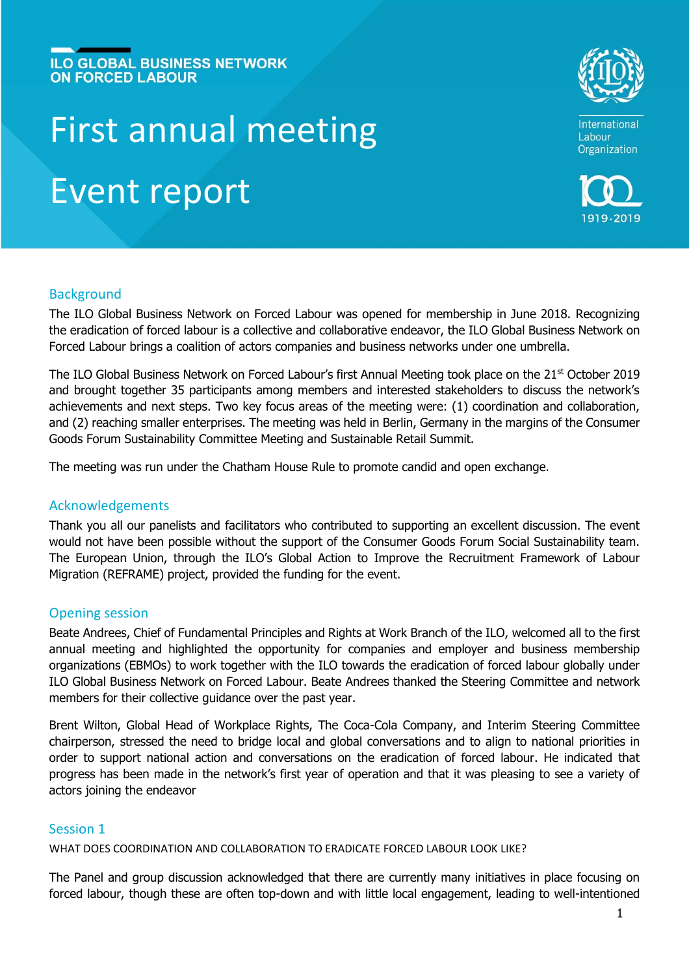# **ILO GLOBAL BUSINESS NETWORK ON FORCED LABOUR**

# First annual meeting Event report





## **Background**

The ILO Global Business Network on Forced Labour was opened for membership in June 2018. Recognizing the eradication of forced labour is a collective and collaborative endeavor, the ILO Global Business Network on Forced Labour brings a coalition of actors companies and business networks under one umbrella.

The ILO Global Business Network on Forced Labour's first Annual Meeting took place on the 21<sup>st</sup> October 2019 and brought together 35 participants among members and interested stakeholders to discuss the network's achievements and next steps. Two key focus areas of the meeting were: (1) coordination and collaboration, and (2) reaching smaller enterprises. The meeting was held in Berlin, Germany in the margins of the Consumer Goods Forum Sustainability Committee Meeting and Sustainable Retail Summit.

The meeting was run under the Chatham House Rule to promote candid and open exchange.

## Acknowledgements

Thank you all our panelists and facilitators who contributed to supporting an excellent discussion. The event would not have been possible without the support of the Consumer Goods Forum Social Sustainability team. The European Union, through the ILO's Global Action to Improve the Recruitment Framework of Labour Migration (REFRAME) project, provided the funding for the event.

## Opening session

Beate Andrees, Chief of Fundamental Principles and Rights at Work Branch of the ILO, welcomed all to the first annual meeting and highlighted the opportunity for companies and employer and business membership organizations (EBMOs) to work together with the ILO towards the eradication of forced labour globally under ILO Global Business Network on Forced Labour. Beate Andrees thanked the Steering Committee and network members for their collective guidance over the past year.

Brent Wilton, Global Head of Workplace Rights, The Coca-Cola Company, and Interim Steering Committee chairperson, stressed the need to bridge local and global conversations and to align to national priorities in order to support national action and conversations on the eradication of forced labour. He indicated that progress has been made in the network's first year of operation and that it was pleasing to see a variety of actors joining the endeavor

## Session 1

WHAT DOES COORDINATION AND COLLABORATION TO ERADICATE FORCED LABOUR LOOK LIKE?

The Panel and group discussion acknowledged that there are currently many initiatives in place focusing on forced labour, though these are often top-down and with little local engagement, leading to well-intentioned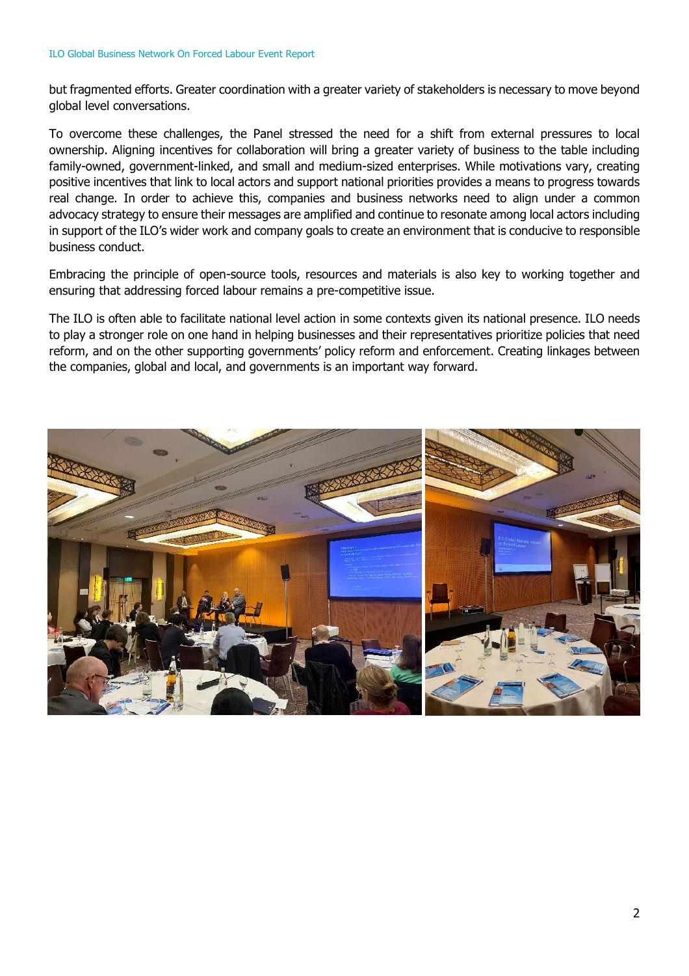but fragmented efforts. Greater coordination with a greater variety of stakeholders is necessary to move beyond global level conversations.

To overcome these challenges, the Panel stressed the need for a shift from external pressures to local ownership. Aligning incentives for collaboration will bring a greater variety of business to the table including family-owned, government-linked, and small and medium-sized enterprises. While motivations vary, creating positive incentives that link to local actors and support national priorities provides a means to progress towards real change. In order to achieve this, companies and business networks need to align under a common advocacy strategy to ensure their messages are amplified and continue to resonate among local actors including in support of the ILO's wider work and company goals to create an environment that is conducive to responsible business conduct.

Embracing the principle of open-source tools, resources and materials is also key to working together and ensuring that addressing forced labour remains a pre-competitive issue.

The ILO is often able to facilitate national level action in some contexts given its national presence. ILO needs to play a stronger role on one hand in helping businesses and their representatives prioritize policies that need reform, and on the other supporting governments' policy reform and enforcement. Creating linkages between the companies, global and local, and governments is an important way forward.

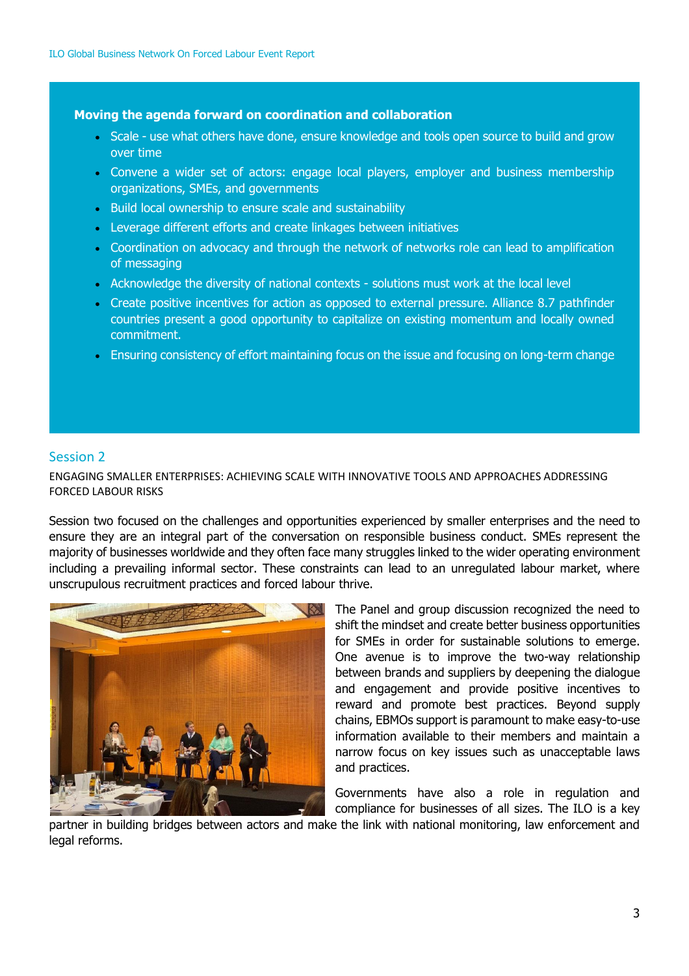### **Moving the agenda forward on coordination and collaboration**

- Scale use what others have done, ensure knowledge and tools open source to build and grow over time
- Convene a wider set of actors: engage local players, employer and business membership organizations, SMEs, and governments
- Build local ownership to ensure scale and sustainability
- Leverage different efforts and create linkages between initiatives
- Coordination on advocacy and through the network of networks role can lead to amplification of messaging
- Acknowledge the diversity of national contexts solutions must work at the local level
- Create positive incentives for action as opposed to external pressure. Alliance 8.7 pathfinder countries present a good opportunity to capitalize on existing momentum and locally owned commitment.
- Ensuring consistency of effort maintaining focus on the issue and focusing on long-term change

## Session 2

ENGAGING SMALLER ENTERPRISES: ACHIEVING SCALE WITH INNOVATIVE TOOLS AND APPROACHES ADDRESSING FORCED LABOUR RISKS

Session two focused on the challenges and opportunities experienced by smaller enterprises and the need to ensure they are an integral part of the conversation on responsible business conduct. SMEs represent the majority of businesses worldwide and they often face many struggles linked to the wider operating environment including a prevailing informal sector. These constraints can lead to an unregulated labour market, where unscrupulous recruitment practices and forced labour thrive.



The Panel and group discussion recognized the need to shift the mindset and create better business opportunities for SMEs in order for sustainable solutions to emerge. One avenue is to improve the two-way relationship between brands and suppliers by deepening the dialogue and engagement and provide positive incentives to reward and promote best practices. Beyond supply chains, EBMOs support is paramount to make easy-to-use information available to their members and maintain a narrow focus on key issues such as unacceptable laws and practices.

Governments have also a role in regulation and compliance for businesses of all sizes. The ILO is a key

partner in building bridges between actors and make the link with national monitoring, law enforcement and legal reforms.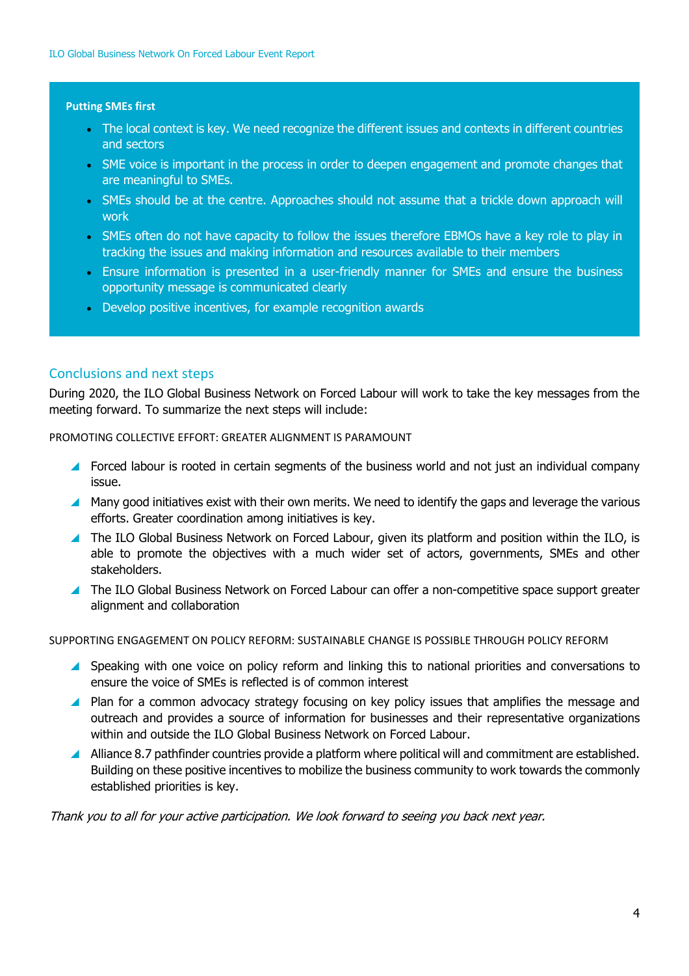#### **Putting SMEs first**

- The local context is key. We need recognize the different issues and contexts in different countries and sectors
- SME voice is important in the process in order to deepen engagement and promote changes that are meaningful to SMEs.
- SMEs should be at the centre. Approaches should not assume that a trickle down approach will work
- SMEs often do not have capacity to follow the issues therefore EBMOs have a key role to play in tracking the issues and making information and resources available to their members
- Ensure information is presented in a user-friendly manner for SMEs and ensure the business opportunity message is communicated clearly
- Develop positive incentives, for example recognition awards

## Conclusions and next steps

During 2020, the ILO Global Business Network on Forced Labour will work to take the key messages from the meeting forward. To summarize the next steps will include:

PROMOTING COLLECTIVE EFFORT: GREATER ALIGNMENT IS PARAMOUNT

- Forced labour is rooted in certain segments of the business world and not just an individual company issue.
- Many good initiatives exist with their own merits. We need to identify the gaps and leverage the various efforts. Greater coordination among initiatives is key.
- The ILO Global Business Network on Forced Labour, given its platform and position within the ILO, is able to promote the objectives with a much wider set of actors, governments, SMEs and other stakeholders.
- The ILO Global Business Network on Forced Labour can offer a non-competitive space support greater alignment and collaboration

SUPPORTING ENGAGEMENT ON POLICY REFORM: SUSTAINABLE CHANGE IS POSSIBLE THROUGH POLICY REFORM

- Speaking with one voice on policy reform and linking this to national priorities and conversations to ensure the voice of SMEs is reflected is of common interest
- **Plan for a common advocacy strategy focusing on key policy issues that amplifies the message and** outreach and provides a source of information for businesses and their representative organizations within and outside the ILO Global Business Network on Forced Labour.
- Alliance 8.7 pathfinder countries provide a platform where political will and commitment are established. Building on these positive incentives to mobilize the business community to work towards the commonly established priorities is key.

Thank you to all for your active participation. We look forward to seeing you back next year.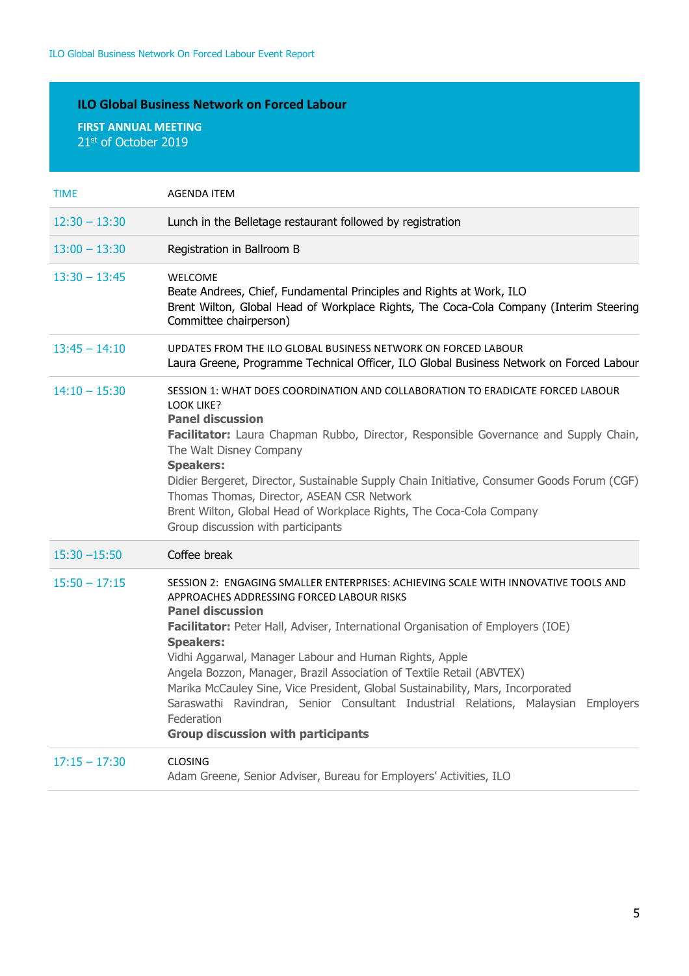## **ILO Global Business Network on Forced Labour**

**FIRST ANNUAL MEETING** 21st of October 2019

| <b>TIME</b>     | <b>AGENDA ITEM</b>                                                                                                                                                                                                                                                                                                                                                                                                                                                                                                                                                                                                                      |
|-----------------|-----------------------------------------------------------------------------------------------------------------------------------------------------------------------------------------------------------------------------------------------------------------------------------------------------------------------------------------------------------------------------------------------------------------------------------------------------------------------------------------------------------------------------------------------------------------------------------------------------------------------------------------|
| $12:30 - 13:30$ | Lunch in the Belletage restaurant followed by registration                                                                                                                                                                                                                                                                                                                                                                                                                                                                                                                                                                              |
| $13:00 - 13:30$ | Registration in Ballroom B                                                                                                                                                                                                                                                                                                                                                                                                                                                                                                                                                                                                              |
| $13:30 - 13:45$ | WELCOME<br>Beate Andrees, Chief, Fundamental Principles and Rights at Work, ILO<br>Brent Wilton, Global Head of Workplace Rights, The Coca-Cola Company (Interim Steering<br>Committee chairperson)                                                                                                                                                                                                                                                                                                                                                                                                                                     |
| $13:45 - 14:10$ | UPDATES FROM THE ILO GLOBAL BUSINESS NETWORK ON FORCED LABOUR<br>Laura Greene, Programme Technical Officer, ILO Global Business Network on Forced Labour                                                                                                                                                                                                                                                                                                                                                                                                                                                                                |
| $14:10 - 15:30$ | SESSION 1: WHAT DOES COORDINATION AND COLLABORATION TO ERADICATE FORCED LABOUR<br><b>LOOK LIKE?</b><br><b>Panel discussion</b><br>Facilitator: Laura Chapman Rubbo, Director, Responsible Governance and Supply Chain,<br>The Walt Disney Company<br><b>Speakers:</b><br>Didier Bergeret, Director, Sustainable Supply Chain Initiative, Consumer Goods Forum (CGF)<br>Thomas Thomas, Director, ASEAN CSR Network<br>Brent Wilton, Global Head of Workplace Rights, The Coca-Cola Company<br>Group discussion with participants                                                                                                         |
| $15:30 - 15:50$ | Coffee break                                                                                                                                                                                                                                                                                                                                                                                                                                                                                                                                                                                                                            |
| $15:50 - 17:15$ | SESSION 2: ENGAGING SMALLER ENTERPRISES: ACHIEVING SCALE WITH INNOVATIVE TOOLS AND<br>APPROACHES ADDRESSING FORCED LABOUR RISKS<br><b>Panel discussion</b><br>Facilitator: Peter Hall, Adviser, International Organisation of Employers (IOE)<br><b>Speakers:</b><br>Vidhi Aggarwal, Manager Labour and Human Rights, Apple<br>Angela Bozzon, Manager, Brazil Association of Textile Retail (ABVTEX)<br>Marika McCauley Sine, Vice President, Global Sustainability, Mars, Incorporated<br>Saraswathi Ravindran, Senior Consultant Industrial Relations, Malaysian Employers<br>Federation<br><b>Group discussion with participants</b> |
| $17:15 - 17:30$ | <b>CLOSING</b><br>Adam Greene, Senior Adviser, Bureau for Employers' Activities, ILO                                                                                                                                                                                                                                                                                                                                                                                                                                                                                                                                                    |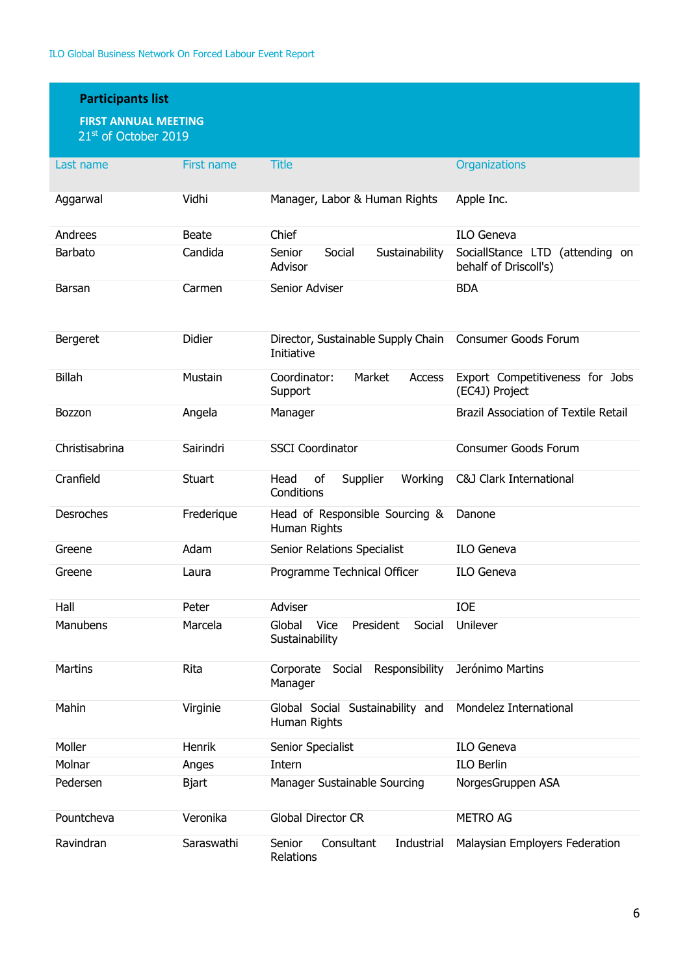| <b>Participants list</b><br><b>FIRST ANNUAL MEETING</b><br>21st of October 2019 |              |                                                                |                                                          |  |  |
|---------------------------------------------------------------------------------|--------------|----------------------------------------------------------------|----------------------------------------------------------|--|--|
| Last name                                                                       | First name   | <b>Title</b>                                                   | Organizations                                            |  |  |
| Aggarwal                                                                        | Vidhi        | Manager, Labor & Human Rights                                  | Apple Inc.                                               |  |  |
| Andrees                                                                         | Beate        | Chief                                                          | <b>ILO Geneva</b>                                        |  |  |
| Barbato                                                                         | Candida      | Senior<br>Social<br>Sustainability<br>Advisor                  | SociallStance LTD (attending on<br>behalf of Driscoll's) |  |  |
| Barsan                                                                          | Carmen       | Senior Adviser                                                 | <b>BDA</b>                                               |  |  |
| Bergeret                                                                        | Didier       | Director, Sustainable Supply Chain<br>Initiative               | <b>Consumer Goods Forum</b>                              |  |  |
| <b>Billah</b>                                                                   | Mustain      | Coordinator:<br>Market<br><b>Access</b><br>Support             | Export Competitiveness for Jobs<br>(EC4J) Project        |  |  |
| <b>Bozzon</b>                                                                   | Angela       | Manager                                                        | <b>Brazil Association of Textile Retail</b>              |  |  |
| Christisabrina                                                                  | Sairindri    | <b>SSCI Coordinator</b>                                        | Consumer Goods Forum                                     |  |  |
| Cranfield                                                                       | Stuart       | Head<br>of<br>Supplier<br>Working<br>Conditions                | <b>C&amp;J Clark International</b>                       |  |  |
| Desroches                                                                       | Frederique   | Head of Responsible Sourcing &<br>Human Rights                 | Danone                                                   |  |  |
| Greene                                                                          | Adam         | Senior Relations Specialist                                    | <b>ILO Geneva</b>                                        |  |  |
| Greene                                                                          | Laura        | Programme Technical Officer                                    | <b>ILO Geneva</b>                                        |  |  |
| Hall                                                                            | Peter        | Adviser                                                        | <b>IOE</b>                                               |  |  |
| Manubens                                                                        | Marcela      | Global<br><b>Vice</b><br>Social<br>President<br>Sustainability | Unilever                                                 |  |  |
| <b>Martins</b>                                                                  | Rita         | Responsibility<br>Corporate<br>Social<br>Manager               | Jerónimo Martins                                         |  |  |
| Mahin                                                                           | Virginie     | Global Social Sustainability and<br>Human Rights               | Mondelez International                                   |  |  |
| Moller                                                                          | Henrik       | Senior Specialist                                              | <b>ILO Geneva</b>                                        |  |  |
| Molnar                                                                          | Anges        | Intern                                                         | <b>ILO Berlin</b>                                        |  |  |
| Pedersen                                                                        | <b>Bjart</b> | Manager Sustainable Sourcing                                   | NorgesGruppen ASA                                        |  |  |
| Pountcheva                                                                      | Veronika     | <b>Global Director CR</b>                                      | <b>METRO AG</b>                                          |  |  |
| Ravindran                                                                       | Saraswathi   | Senior<br>Consultant<br>Industrial<br>Relations                | Malaysian Employers Federation                           |  |  |